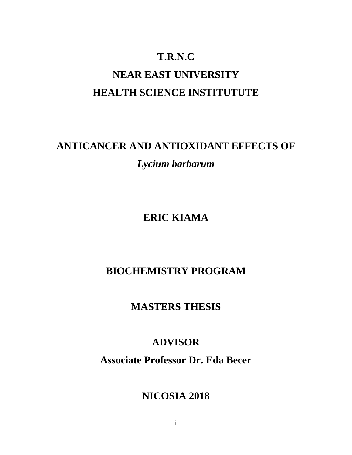# **T.R.N.C NEAR EAST UNIVERSITY HEALTH SCIENCE INSTITUTUTE**

# **ANTICANCER AND ANTIOXIDANT EFFECTS OF**  *Lycium barbarum*

**ERIC KIAMA**

# **BIOCHEMISTRY PROGRAM**

# **MASTERS THESIS**

# **ADVISOR**

**Associate Professor Dr. Eda Becer**

# **NICOSIA 2018**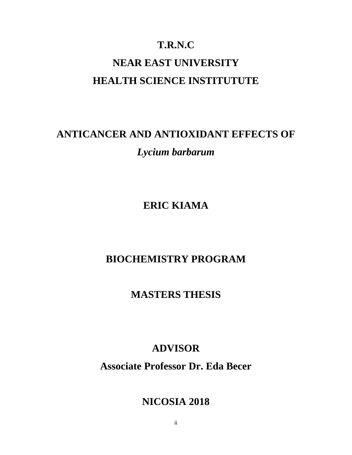## **T.R.N.C**

# **NEAR EAST UNIVERSITY HEALTH SCIENCE INSTITUTUTE**

# **ANTICANCER AND ANTIOXIDANT EFFECTS OF**  *Lycium barbarum*

**ERIC KIAMA**

# **BIOCHEMISTRY PROGRAM**

**MASTERS THESIS**

# **ADVISOR**

**Associate Professor Dr. Eda Becer**

# **NICOSIA 2018**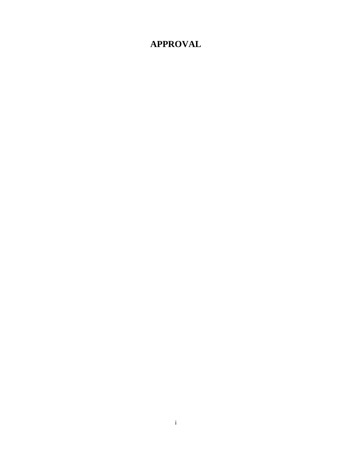# **APPROVAL**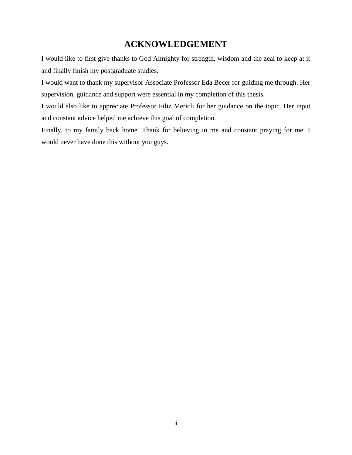### **ACKNOWLEDGEMENT**

I would like to first give thanks to God Almighty for strength, wisdom and the zeal to keep at it and finally finish my postgraduate studies.

I would want to thank my supervisor Associate Professor Eda Becer for guiding me through. Her supervision, guidance and support were essential in my completion of this thesis.

I would also like to appreciate Professor Filiz Mericli for her guidance on the topic. Her input and constant advice helped me achieve this goal of completion.

Finally, to my family back home. Thank for believing in me and constant praying for me. I would never have done this without you guys.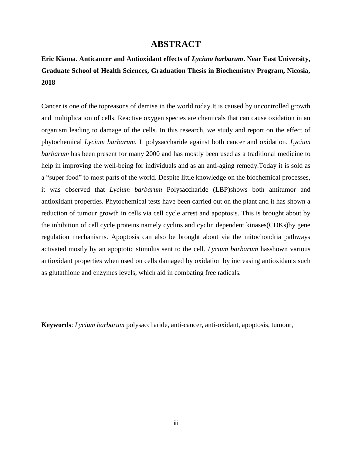### **ABSTRACT**

**Eric Kiama. Anticancer and Antioxidant effects of** *Lycium barbarum***. Near East University, Graduate School of Health Sciences, Graduation Thesis in Biochemistry Program, Nicosia, 2018**

Cancer is one of the topreasons of demise in the world today.It is caused by uncontrolled growth and multiplication of cells. Reactive oxygen species are chemicals that can cause oxidation in an organism leading to damage of the cells. In this research, we study and report on the effect of phytochemical *Lycium barbarum.* L polysaccharide against both cancer and oxidation*. Lycium barbarum* has been present for many 2000 and has mostly been used as a traditional medicine to help in improving the well-being for individuals and as an anti-aging remedy.Today it is sold as a "super food" to most parts of the world. Despite little knowledge on the biochemical processes, it was observed that *Lycium barbarum* Polysaccharide (LBP)shows both antitumor and antioxidant properties. Phytochemical tests have been carried out on the plant and it has shown a reduction of tumour growth in cells via cell cycle arrest and apoptosis. This is brought about by the inhibition of cell cycle proteins namely cyclins and cyclin dependent kinases(CDKs)by gene regulation mechanisms. Apoptosis can also be brought about via the mitochondria pathways activated mostly by an apoptotic stimulus sent to the cell. *Lycium barbarum* hasshown various antioxidant properties when used on cells damaged by oxidation by increasing antioxidants such as glutathione and enzymes levels, which aid in combating free radicals.

**Keywords**: *Lycium barbarum* polysaccharide, anti-cancer, anti-oxidant, apoptosis, tumour,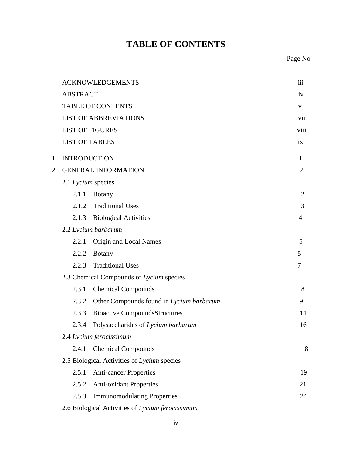# **TABLE OF CONTENTS**

Page No

|    |                       | <b>ACKNOWLEDGEMENTS</b>                          | iii            |
|----|-----------------------|--------------------------------------------------|----------------|
|    | <b>ABSTRACT</b>       |                                                  | iv             |
|    |                       | <b>TABLE OF CONTENTS</b>                         | V              |
|    |                       | <b>LIST OF ABBREVIATIONS</b>                     | vii            |
|    |                       | <b>LIST OF FIGURES</b>                           | viii           |
|    | <b>LIST OF TABLES</b> |                                                  | ix             |
| 1. | <b>INTRODUCTION</b>   |                                                  | 1              |
| 2. |                       | <b>GENERAL INFORMATION</b>                       | $\overline{2}$ |
|    | 2.1 Lycium species    |                                                  |                |
|    | 2.1.1                 | <b>Botany</b>                                    | $\overline{2}$ |
|    |                       | 2.1.2 Traditional Uses                           | 3              |
|    | 2.1.3                 | <b>Biological Activities</b>                     | 4              |
|    |                       | 2.2 Lycium barbarum                              |                |
|    | 2.2.1                 | Origin and Local Names                           | 5              |
|    | 2.2.2                 | <b>Botany</b>                                    | 5              |
|    | 2.2.3                 | <b>Traditional Uses</b>                          | 7              |
|    |                       | 2.3 Chemical Compounds of Lycium species         |                |
|    | 2.3.1                 | <b>Chemical Compounds</b>                        | 8              |
|    | 2.3.2                 | Other Compounds found in Lycium barbarum         | 9              |
|    | 2.3.3                 | <b>Bioactive CompoundsStructures</b>             | 11             |
|    | 2.3.4                 | Polysaccharides of Lycium barbarum               | 16             |
|    |                       | 2.4 Lycium ferocissimum                          |                |
|    | 2.4.1                 | <b>Chemical Compounds</b>                        | 18             |
|    |                       | 2.5 Biological Activities of Lycium species      |                |
|    | 2.5.1                 | <b>Anti-cancer Properties</b>                    | 19             |
|    | 2.5.2                 | <b>Anti-oxidant Properties</b>                   | 21             |
|    | 2.5.3                 | <b>Immunomodulating Properties</b>               | 24             |
|    |                       | 2.6 Biological Activities of Lycium ferocissimum |                |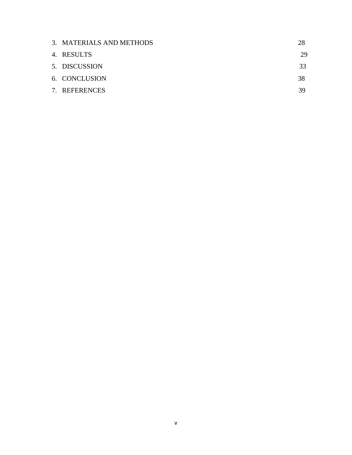| 3. MATERIALS AND METHODS | 28 |
|--------------------------|----|
| 4. RESULTS               | 29 |
| 5. DISCUSSION            | 33 |
| 6. CONCLUSION            | 38 |
| 7. REFERENCES            | 39 |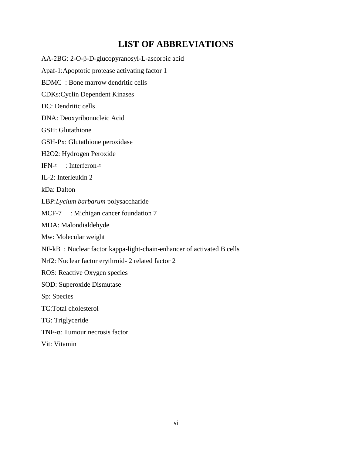## **LIST OF ABBREVIATIONS**

AA-2ΒG: 2-O-β-D-glucopyranosyl-L-ascorbic acid Apaf-1:Apoptotic protease activating factor 1 BDMC : Bone marrow dendritic cells CDKs:Cyclin Dependent Kinases DC: Dendritic cells DNA: Deoxyribonucleic Acid GSH: Glutathione GSH-Px: Glutathione peroxidase H2O2: Hydrogen Peroxide IFN-ˠ : Interferon-ˠ IL-2: Interleukin 2 kDa: Dalton LBP:*Lycium barbarum* polysaccharide MCF-7 : Michigan cancer foundation 7 MDA: Malondialdehyde Mw: Molecular weight NF-kB : Nuclear factor kappa-light-chain-enhancer of activated B cells Nrf2: Nuclear factor erythroid- 2 related factor 2 ROS: Reactive Oxygen species SOD: Superoxide Dismutase Sp: Species TC:Total cholesterol TG: Triglyceride TNF-α: Tumour necrosis factor Vit: Vitamin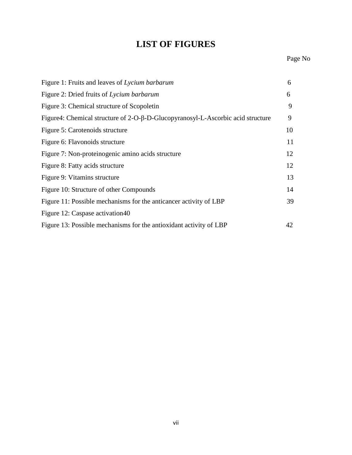# **LIST OF FIGURES**

| Figure 1: Fruits and leaves of Lycium barbarum                                  | 6  |
|---------------------------------------------------------------------------------|----|
| Figure 2: Dried fruits of Lycium barbarum                                       | 6  |
| Figure 3: Chemical structure of Scopoletin                                      | 9  |
| Figure4: Chemical structure of 2-O-β-D-Glucopyranosyl-L-Ascorbic acid structure | 9  |
| Figure 5: Carotenoids structure                                                 | 10 |
| Figure 6: Flavonoids structure                                                  | 11 |
| Figure 7: Non-proteinogenic amino acids structure                               | 12 |
| Figure 8: Fatty acids structure                                                 | 12 |
| Figure 9: Vitamins structure                                                    | 13 |
| Figure 10: Structure of other Compounds                                         | 14 |
| Figure 11: Possible mechanisms for the anticancer activity of LBP               | 39 |
| Figure 12: Caspase activation40                                                 |    |
| Figure 13: Possible mechanisms for the antioxidant activity of LBP              | 42 |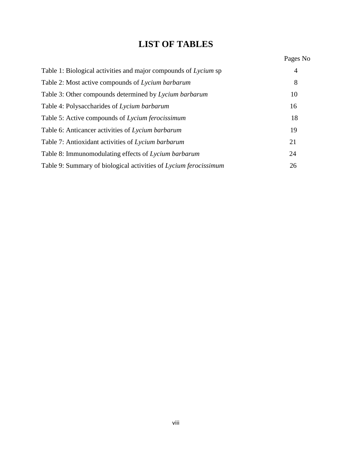# **LIST OF TABLES**

# Pages No

| Table 1: Biological activities and major compounds of Lycium sp  | 4  |
|------------------------------------------------------------------|----|
| Table 2: Most active compounds of Lycium barbarum                | 8  |
| Table 3: Other compounds determined by Lycium barbarum           | 10 |
| Table 4: Polysaccharides of Lycium barbarum                      | 16 |
| Table 5: Active compounds of Lycium ferocissimum                 | 18 |
| Table 6: Anticancer activities of Lycium barbarum                | 19 |
| Table 7: Antioxidant activities of Lycium barbarum               | 21 |
| Table 8: Immunomodulating effects of Lycium barbarum             | 24 |
| Table 9: Summary of biological activities of Lycium ferocissimum | 26 |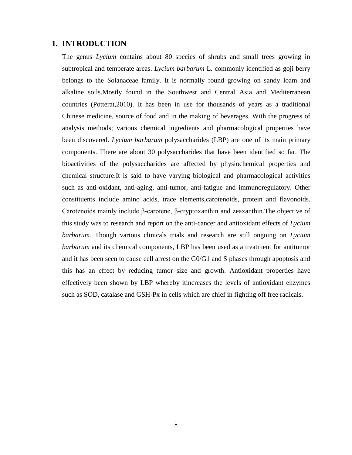#### **1. INTRODUCTION**

The genus *Lycium* contains about 80 species of shrubs and small trees growing in subtropical and temperate areas. *Lycium barbarum* L. commonly identified as goji berry belongs to the Solanaceae family. It is normally found growing on sandy loam and alkaline soils.Mostly found in the Southwest and Central Asia and Mediterranean countries (Potterat,2010). It has been in use for thousands of years as a traditional Chinese medicine, source of food and in the making of beverages. With the progress of analysis methods; various chemical ingredients and pharmacological properties have been discovered. *Lycium barbarum* polysaccharides (LBP) are one of its main primary components. There are about 30 polysaccharides that have been identified so far. The bioactivities of the polysaccharides are affected by physiochemical properties and chemical structure.It is said to have varying biological and pharmacological activities such as anti-oxidant, anti-aging, anti-tumor, anti-fatigue and immunoregulatory. Other constituents include amino acids, trace elements,carotenoids, protein and flavonoids. Carotenoids mainly include β-carotene, β-cryptoxanthin and zeaxanthin.The objective of this study was to research and report on the anti-cancer and antioxidant effects of *Lycium barbarum.* Though various clinicals trials and research are still ongoing on *Lycium barbarum* and its chemical components, LBP has been used as a treatment for antitumor and it has been seen to cause cell arrest on the G0/G1 and S phases through apoptosis and this has an effect by reducing tumor size and growth. Antioxidant properties have effectively been shown by LBP whereby itincreases the levels of antioxidant enzymes such as SOD, catalase and GSH-Px in cells which are chief in fighting off free radicals.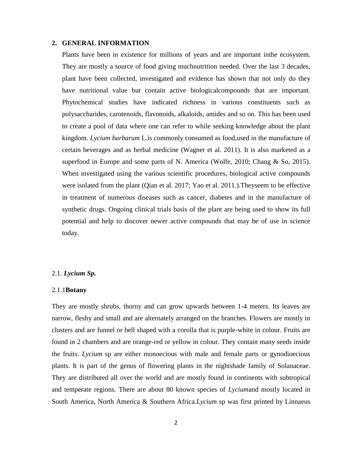#### **2. GENERAL INFORMATION**

Plants have been in existence for millions of years and are important inthe ecosystem. They are mostly a source of food giving muchnutrition needed. Over the last 3 decades, plant have been collected, investigated and evidence has shown that not only do they have nutritional value but contain active biologicalcompounds that are important. Phytochemical studies have indicated richness in various constituents such as polysaccharides, carotenoids, flavonoids, alkaloids, amides and so on. This has been used to create a pool of data where one can refer to while seeking knowledge about the plant kingdom. *Lycium barbarum* L.is commonly consumed as food,used in the manufacture of certain beverages and as herbal medicine (Wagner et al. 2011). It is also marketed as a superfood in Europe and some parts of N. America (Wolfe, 2010; Chang & So, 2015). When investigated using the various scientific procedures, biological active compounds were isolated from the plant (Qian et al. 2017; Yao et al. 2011.).Theyseem to be effective in treatment of numerous diseases such as cancer, diabetes and in the manufacture of synthetic drugs. Ongoing clinical trials basis of the plant are being used to show its full potential and help to discover newer active compounds that may be of use in science today.

#### 2.1. *Lycium Sp.*

#### 2.1.1**Botany**

They are mostly shrubs, thorny and can grow upwards between 1-4 meters. Its leaves are narrow, fleshy and small and are alternately arranged on the branches. Flowers are mostly in clusters and are funnel or bell shaped with a corolla that is purple-white in colour. Fruits are found in 2 chambers and are orange-red or yellow in colour. They contain many seeds inside the fruits. *Lycium* sp are either monoecious with male and female parts or gynodioecious plants. It is part of the genus of flowering plants in the nightshade family of Solanaceae. They are distributed all over the world and are mostly found in continents with subtropical and temperate regions. There are about 80 known species of *Lycium*and mostly located in South America, North America & Southern Africa.*Lycium* sp was first printed by Linnaeus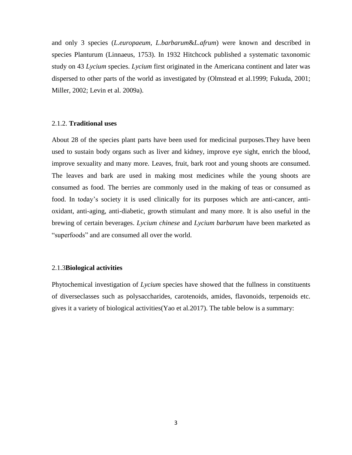and only 3 species (*L.europaeum, L.barbarum*&*L.afrum*) were known and described in species Planturum (Linnaeus, 1753). In 1932 Hitchcock published a systematic taxonomic study on 43 *Lycium* species. *Lycium* first originated in the Americana continent and later was dispersed to other parts of the world as investigated by (Olmstead et al.1999; Fukuda, 2001; Miller, 2002; Levin et al. 2009a).

#### 2.1.2. **Traditional uses**

About 28 of the species plant parts have been used for medicinal purposes.They have been used to sustain body organs such as liver and kidney, improve eye sight, enrich the blood, improve sexuality and many more. Leaves, fruit, bark root and young shoots are consumed. The leaves and bark are used in making most medicines while the young shoots are consumed as food. The berries are commonly used in the making of teas or consumed as food. In today's society it is used clinically for its purposes which are anti-cancer, antioxidant, anti-aging, anti-diabetic, growth stimulant and many more. It is also useful in the brewing of certain beverages. *Lycium chinese* and *Lycium barbarum* have been marketed as "superfoods" and are consumed all over the world.

#### 2.1.3**Biological activities**

Phytochemical investigation of *Lycium* species have showed that the fullness in constituents of diverseclasses such as polysaccharides, carotenoids, amides, flavonoids, terpenoids etc. gives it a variety of biological activities(Yao et al.2017). The table below is a summary: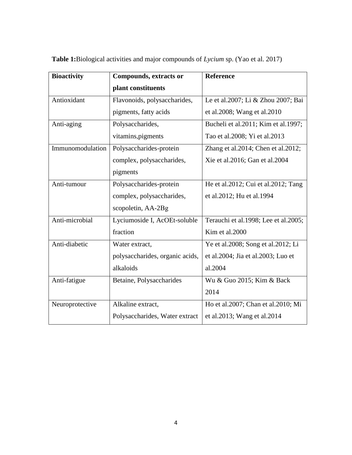| <b>Bioactivity</b> | <b>Compounds, extracts or</b>   | <b>Reference</b>                     |
|--------------------|---------------------------------|--------------------------------------|
|                    | plant constituents              |                                      |
| Antioxidant        | Flavonoids, polysaccharides,    | Le et al.2007; Li & Zhou 2007; Bai   |
|                    | pigments, fatty acids           | et al.2008; Wang et al.2010          |
| Anti-aging         | Polysaccharides,                | Bucheli et al.2011; Kim et al.1997;  |
|                    | vitamins, pigments              | Tao et al.2008; Yi et al.2013        |
| Immunomodulation   | Polysaccharides-protein         | Zhang et al.2014; Chen et al.2012;   |
|                    | complex, polysaccharides,       | Xie et al.2016; Gan et al.2004       |
|                    | pigments                        |                                      |
| Anti-tumour        | Polysaccharides-protein         | He et al.2012; Cui et al.2012; Tang  |
|                    | complex, polysaccharides,       | et al.2012; Hu et al.1994            |
|                    | scopoletin, AA-2Bg              |                                      |
| Anti-microbial     | Lyciumoside I, AcOEt-soluble    | Terauchi et al.1998; Lee et al.2005; |
|                    | fraction                        | Kim et al.2000                       |
| Anti-diabetic      | Water extract,                  | Ye et al.2008; Song et al.2012; Li   |
|                    | polysaccharides, organic acids, | et al.2004; Jia et al.2003; Luo et   |
|                    | alkaloids                       | al.2004                              |
| Anti-fatigue       | Betaine, Polysaccharides        | Wu & Guo 2015; Kim & Back            |
|                    |                                 | 2014                                 |
| Neuroprotective    | Alkaline extract,               | Ho et al.2007; Chan et al.2010; Mi   |
|                    | Polysaccharides, Water extract  | et al.2013; Wang et al.2014          |

**Table 1:**Biological activities and major compounds of *Lycium* sp. (Yao et al. 2017)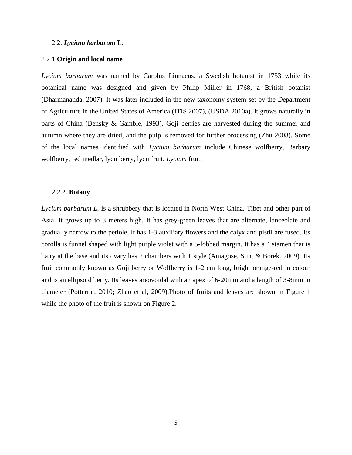#### 2.2. *Lycium barbarum* **L.**

#### 2.2.1 **Origin and local name**

*Lycium barbarum* was named by Carolus Linnaeus, a Swedish botanist in 1753 while its botanical name was designed and given by Philip Miller in 1768, a British botanist (Dharmananda, 2007). It was later included in the new taxonomy system set by the Department of Agriculture in the United States of America (ITIS 2007), (USDA 2010a). It grows naturally in parts of China (Bensky & Gamble, 1993). Goji berries are harvested during the summer and autumn where they are dried, and the pulp is removed for further processing (Zhu 2008). Some of the local names identified with *Lycium barbarum* include Chinese wolfberry, Barbary wolfberry, red medlar, lycii berry, lycii fruit, *Lycium* fruit.

#### 2.2.2. **Botany**

*Lycium barbarum L.* is a shrubbery that is located in North West China, Tibet and other part of Asia. It grows up to 3 meters high. It has grey-green leaves that are alternate, lanceolate and gradually narrow to the petiole. It has 1-3 auxiliary flowers and the calyx and pistil are fused. Its corolla is funnel shaped with light purple violet with a 5-lobbed margin. It has a 4 stamen that is hairy at the base and its ovary has 2 chambers with 1 style (Amagose, Sun, & Borek. 2009). Its fruit commonly known as Goji berry or Wolfberry is 1-2 cm long, bright orange-red in colour and is an ellipsoid berry. Its leaves areovoidal with an apex of 6-20mm and a length of 3-8mm in diameter (Potterrat, 2010; Zhao et al, 2009).Photo of fruits and leaves are shown in Figure 1 while the photo of the fruit is shown on Figure 2.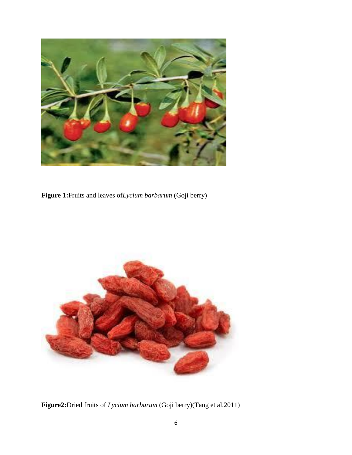

**Figure 1:**Fruits and leaves of*Lycium barbarum* (Goji berry)



**Figure2:**Dried fruits of *Lycium barbarum* (Goji berry)(Tang et al.2011)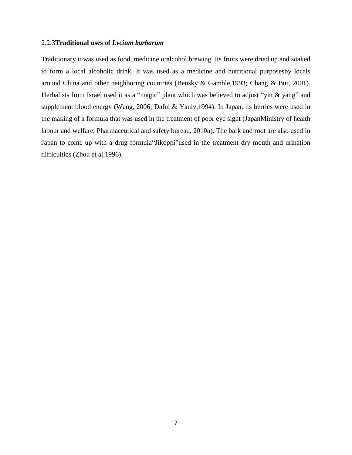#### 2.2.3**Traditional uses of** *Lycium barbarum*

Traditionary it was used as food, medicine oralcohol brewing. Its fruits were dried up and soaked to form a local alcoholic drink. It was used as a medicine and nutritional purposesby locals around China and other neighboring countries (Bensky & Gamble,1993; Chang & But, 2001). Herbalists from Israel used it as a "magic" plant which was believed to adjust "yin & yang" and supplement blood energy (Wang, 2006; Dafni & Yaniv,1994). In Japan, its berries were used in the making of a formula that was used in the treatment of poor eye sight (JapanMinistry of health labour and welfare, Pharmaceutical and safety bureau, 2010a). The bark and root are also used in Japan to come up with a drug formula"Jikoppi"used in the treatment dry mouth and urination difficulties (Zhou et al.1996).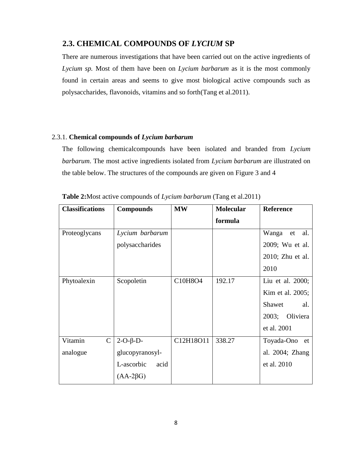### **2.3. CHEMICAL COMPOUNDS OF** *LYCIUM* **SP**

There are numerous investigations that have been carried out on the active ingredients of *Lycium sp.* Most of them have been on *Lycium barbarum* as it is the most commonly found in certain areas and seems to give most biological active compounds such as polysaccharides, flavonoids, vitamins and so forth(Tang et al.2011).

### 2.3.1. **Chemical compounds of** *Lycium barbarum*

The following chemicalcompounds have been isolated and branded from *Lycium barbarum*. The most active ingredients isolated from *Lycium barbarum* are illustrated on the table below. The structures of the compounds are given on Figure 3 and 4

| <b>Classifications</b> | <b>Compounds</b>   | <b>MW</b> | <b>Molecular</b> | <b>Reference</b> |
|------------------------|--------------------|-----------|------------------|------------------|
|                        |                    |           | formula          |                  |
| Proteoglycans          | Lycium barbarum    |           |                  | Wanga<br>et al.  |
|                        | polysaccharides    |           |                  | 2009; Wu et al.  |
|                        |                    |           |                  | 2010; Zhu et al. |
|                        |                    |           |                  | 2010             |
| Phytoalexin            | Scopoletin         | C10H8O4   | 192.17           | Liu et al. 2000; |
|                        |                    |           |                  | Kim et al. 2005; |
|                        |                    |           |                  | Shawet<br>al.    |
|                        |                    |           |                  | 2003; Oliviera   |
|                        |                    |           |                  | et al. 2001      |
| $\mathbf C$<br>Vitamin | $2-O-\beta-D-$     | C12H18O11 | 338.27           | Toyada-Ono et    |
| analogue               | glucopyranosyl-    |           |                  | al. 2004; Zhang  |
|                        | L-ascorbic<br>acid |           |                  | et al. 2010      |
|                        | $(AA-2\beta G)$    |           |                  |                  |

**Table 2:**Most active compounds of *Lycium barbarum* (Tang et al.2011)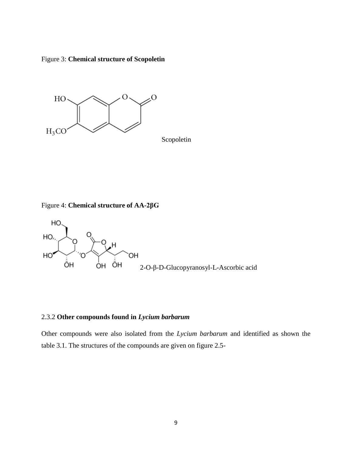Figure 3: **Chemical structure of Scopoletin**



Scopoletin

Figure 4: **Chemical structure of AA-2βG**



### 2.3.2 **Other compounds found in** *Lycium barbarum*

Other compounds were also isolated from the *Lycium barbarum* and identified as shown the table 3.1. The structures of the compounds are given on figure 2.5-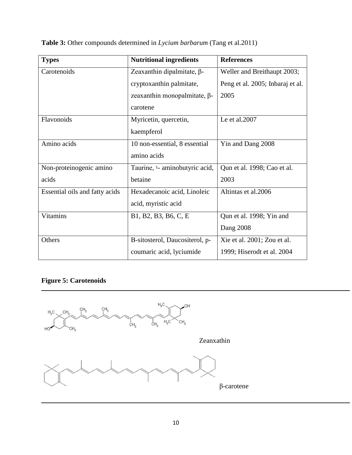| <b>Types</b>                   | <b>Nutritional ingredients</b>         | <b>References</b>                |
|--------------------------------|----------------------------------------|----------------------------------|
| Carotenoids                    | Zeaxanthin dipalmitate, $\beta$ -      | Weller and Breithaupt 2003;      |
|                                | cryptoxanthin palmitate,               | Peng et al. 2005; Inbaraj et al. |
|                                | zeaxanthin monopalmitate, $\beta$ -    | 2005                             |
|                                | carotene                               |                                  |
| Flavonoids                     | Myricetin, quercetin,                  | Le et al.2007                    |
|                                | kaempferol                             |                                  |
| Amino acids                    | 10 non-essential, 8 essential          | Yin and Dang 2008                |
|                                | amino acids                            |                                  |
| Non-proteinogenic amino        | Taurine, <i>v</i> - aminobutyric acid, | Qun et al. 1998; Cao et al.      |
| acids                          | betaine                                | 2003                             |
| Essential oils and fatty acids | Hexadecanoic acid, Linoleic            | Altintas et al.2006              |
|                                | acid, myristic acid                    |                                  |
| <b>Vitamins</b>                | B1, B2, B3, B6, C, E                   | Qun et al. 1998; Yin and         |
|                                |                                        | Dang 2008                        |
| Others                         | B-sitosterol, Daucositerol, p-         | Xie et al. 2001; Zou et al.      |
|                                | coumaric acid, lyciumide               | 1999; Hiserodt et al. 2004       |

**Table 3:** Other compounds determined in *Lycium barbarum* (Tang et al.2011)

### **Figure 5: Carotenoids**

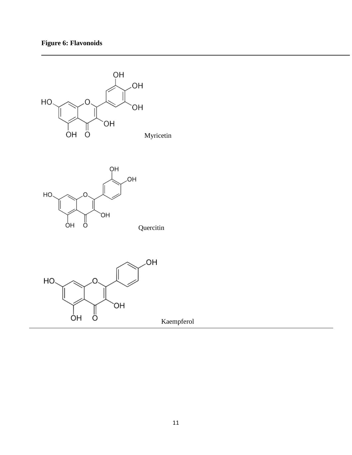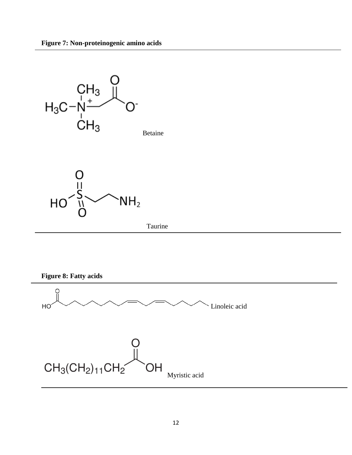

**Figure 8: Fatty acids**

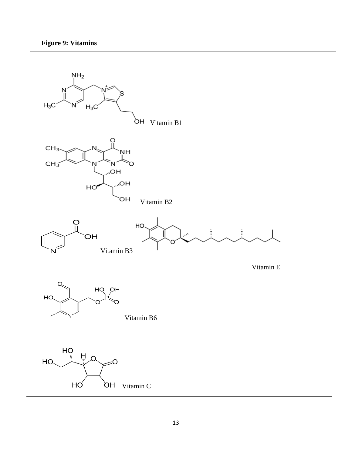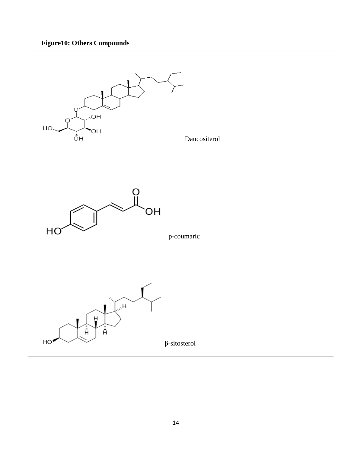



p-coumaric

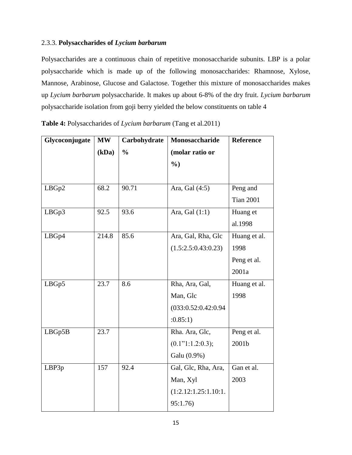### 2.3.3. **Polysaccharides of** *Lycium barbarum*

Polysaccharides are a continuous chain of repetitive monosaccharide subunits. LBP is a polar polysaccharide which is made up of the following monosaccharides: Rhamnose, Xylose, Mannose, Arabinose, Glucose and Galactose. Together this mixture of monosaccharides makes up *Lycium barbarum* polysaccharide. It makes up about 6-8% of the dry fruit. *Lycium barbarum* polysaccharide isolation from goji berry yielded the below constituents on table 4

| Glycoconjugate | <b>MW</b> | Carbohydrate  | Monosaccharide       | <b>Reference</b> |
|----------------|-----------|---------------|----------------------|------------------|
|                | (kDa)     | $\frac{0}{0}$ | (molar ratio or      |                  |
|                |           |               | $\frac{6}{2}$        |                  |
|                |           |               |                      |                  |
| LBGp2          | 68.2      | 90.71         | Ara, Gal (4:5)       | Peng and         |
|                |           |               |                      | <b>Tian 2001</b> |
| LBGp3          | 92.5      | 93.6          | Ara, Gal (1:1)       | Huang et         |
|                |           |               |                      | al.1998          |
| LBGp4          | 214.8     | 85.6          | Ara, Gal, Rha, Glc   | Huang et al.     |
|                |           |               | (1.5:2.5:0.43:0.23)  | 1998             |
|                |           |               |                      | Peng et al.      |
|                |           |               |                      | 2001a            |
| LBGp5          | 23.7      | 8.6           | Rha, Ara, Gal,       | Huang et al.     |
|                |           |               | Man, Glc             | 1998             |
|                |           |               | (033:0.52:0.42:0.94) |                  |
|                |           |               | :0.85:1)             |                  |
| LBGp5B         | 23.7      |               | Rha. Ara, Glc,       | Peng et al.      |
|                |           |               | (0.1"1:1.2:0.3);     | 2001b            |
|                |           |               | Galu (0.9%)          |                  |
| LBP3p          | 157       | 92.4          | Gal, Glc, Rha, Ara,  | Gan et al.       |
|                |           |               | Man, Xyl             | 2003             |
|                |           |               | (1:2.12:1.25:1.10:1. |                  |
|                |           |               | 95:1.76)             |                  |

**Table 4:** Polysaccharides of *Lycium barbarum* (Tang et al.2011)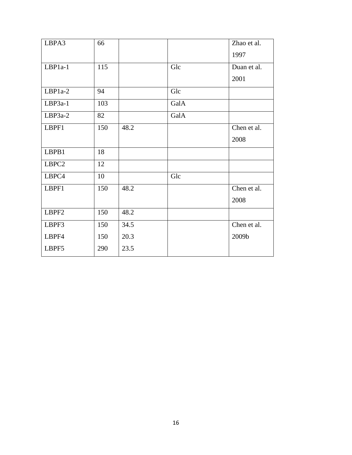| LBPA3     | 66  |      |      | Zhao et al. |
|-----------|-----|------|------|-------------|
|           |     |      |      | 1997        |
| LBP1a-1   | 115 |      | Glc  | Duan et al. |
|           |     |      |      | 2001        |
| LBP1a-2   | 94  |      | Glc  |             |
| $LBP3a-1$ | 103 |      | GalA |             |
| $LBP3a-2$ | 82  |      | GalA |             |
| LBPF1     | 150 | 48.2 |      | Chen et al. |
|           |     |      |      | 2008        |
| LBPB1     | 18  |      |      |             |
| LBPC2     | 12  |      |      |             |
| LBPC4     | 10  |      | Glc  |             |
| LBPF1     | 150 | 48.2 |      | Chen et al. |
|           |     |      |      | 2008        |
| LBPF2     | 150 | 48.2 |      |             |
| LBPF3     | 150 | 34.5 |      | Chen et al. |
| LBPF4     | 150 | 20.3 |      | 2009b       |
| LBPF5     | 290 | 23.5 |      |             |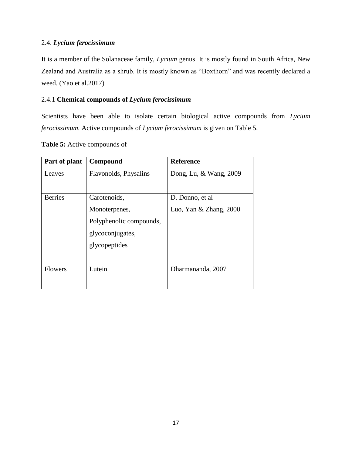### 2.4. *Lycium ferocissimum*

It is a member of the Solanaceae family, *Lycium* genus. It is mostly found in South Africa, New Zealand and Australia as a shrub. It is mostly known as "Boxthorn" and was recently declared a weed. (Yao et al.2017)

### 2.4.1 **Chemical compounds of** *Lycium ferocissimum*

Scientists have been able to isolate certain biological active compounds from *Lycium ferocissimum.* Active compounds of *Lycium ferocissimum* is given on Table 5.

| Part of plant  | Compound                | <b>Reference</b>         |
|----------------|-------------------------|--------------------------|
| Leaves         | Flavonoids, Physalins   | Dong, Lu, & Wang, 2009   |
| <b>Berries</b> | Carotenoids,            | D. Donno, et al.         |
|                | Monoterpenes,           | Luo, Yan $&$ Zhang, 2000 |
|                | Polyphenolic compounds, |                          |
|                | glycoconjugates,        |                          |
|                | glycopeptides           |                          |
| <b>Flowers</b> | Lutein                  | Dharmananda, 2007        |

**Table 5:** Active compounds of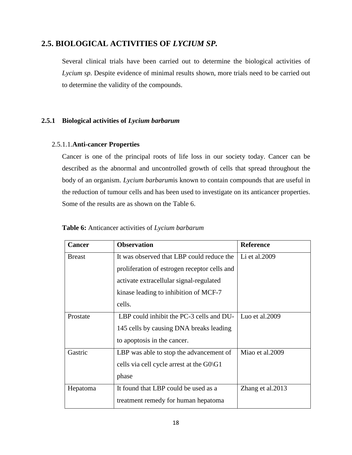### **2.5. BIOLOGICAL ACTIVITIES OF** *LYCIUM SP.*

Several clinical trials have been carried out to determine the biological activities of *Lycium sp*. Despite evidence of minimal results shown, more trials need to be carried out to determine the validity of the compounds.

### **2.5.1 Biological activities of** *Lycium barbarum*

#### 2.5.1.1.**Anti-cancer Properties**

Cancer is one of the principal roots of life loss in our society today. Cancer can be described as the abnormal and uncontrolled growth of cells that spread throughout the body of an organism. *Lycium barbarum*is known to contain compounds that are useful in the reduction of tumour cells and has been used to investigate on its anticancer properties. Some of the results are as shown on the Table 6.

| <b>Cancer</b> | <b>Observation</b>                           | <b>Reference</b>  |
|---------------|----------------------------------------------|-------------------|
| <b>Breast</b> | It was observed that LBP could reduce the    | Li et al.2009     |
|               | proliferation of estrogen receptor cells and |                   |
|               | activate extracellular signal-regulated      |                   |
|               | kinase leading to inhibition of MCF-7        |                   |
|               | cells.                                       |                   |
| Prostate      | LBP could inhibit the PC-3 cells and DU-     | Luo et al. $2009$ |
|               | 145 cells by causing DNA breaks leading      |                   |
|               | to apoptosis in the cancer.                  |                   |
| Gastric       | LBP was able to stop the advancement of      | Miao et al.2009   |
|               | cells via cell cycle arrest at the $G_0\$ G1 |                   |
|               | phase                                        |                   |
| Hepatoma      | It found that LBP could be used as a         | Zhang et al. 2013 |
|               | treatment remedy for human hepatoma          |                   |

**Table 6:** Anticancer activities of *Lycium barbarum*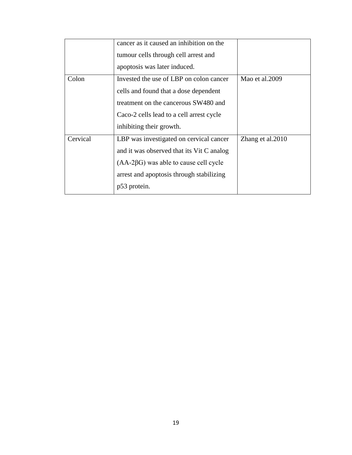|          | cancer as it caused an inhibition on the<br>tumour cells through cell arrest and<br>apoptosis was later induced.                                                                                 |                   |
|----------|--------------------------------------------------------------------------------------------------------------------------------------------------------------------------------------------------|-------------------|
| Colon    | Invested the use of LBP on colon cancer<br>cells and found that a dose dependent<br>treatment on the cancerous SW480 and<br>Caco-2 cells lead to a cell arrest cycle<br>inhibiting their growth. | Mao et al.2009    |
| Cervical | LBP was investigated on cervical cancer<br>and it was observed that its Vit C analog<br>$(AA-2\beta G)$ was able to cause cell cycle<br>arrest and apoptosis through stabilizing<br>p53 protein. | Zhang et al. 2010 |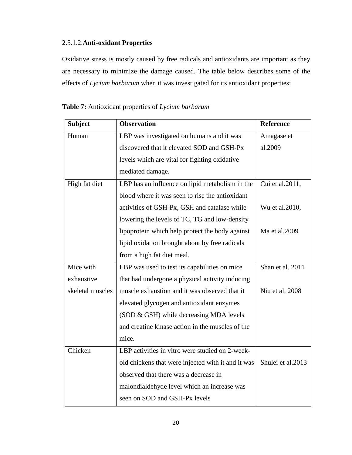### 2.5.1.2.**Anti-oxidant Properties**

Oxidative stress is mostly caused by free radicals and antioxidants are important as they are necessary to minimize the damage caused. The table below describes some of the effects of *Lycium barbarum* when it was investigated for its antioxidant properties:

| <b>Subject</b>   | <b>Observation</b>                                 | <b>Reference</b>  |
|------------------|----------------------------------------------------|-------------------|
| Human            | LBP was investigated on humans and it was          | Amagase et        |
|                  | discovered that it elevated SOD and GSH-Px         | al.2009           |
|                  | levels which are vital for fighting oxidative      |                   |
|                  | mediated damage.                                   |                   |
| High fat diet    | LBP has an influence on lipid metabolism in the    | Cui et al.2011,   |
|                  | blood where it was seen to rise the antioxidant    |                   |
|                  | activities of GSH-Px, GSH and catalase while       | Wu et al.2010,    |
|                  | lowering the levels of TC, TG and low-density      |                   |
|                  | lipoprotein which help protect the body against    | Ma et al.2009     |
|                  | lipid oxidation brought about by free radicals     |                   |
|                  | from a high fat diet meal.                         |                   |
| Mice with        | LBP was used to test its capabilities on mice      | Shan et al. 2011  |
| exhaustive       | that had undergone a physical activity inducing    |                   |
| skeletal muscles | muscle exhaustion and it was observed that it      | Niu et al. 2008   |
|                  | elevated glycogen and antioxidant enzymes          |                   |
|                  | (SOD & GSH) while decreasing MDA levels            |                   |
|                  | and creatine kinase action in the muscles of the   |                   |
|                  | mice.                                              |                   |
| Chicken          | LBP activities in vitro were studied on 2-week-    |                   |
|                  | old chickens that were injected with it and it was | Shulei et al.2013 |
|                  | observed that there was a decrease in              |                   |
|                  | malondialdehyde level which an increase was        |                   |
|                  | seen on SOD and GSH-Px levels                      |                   |

**Table 7:** Antioxidant properties of *Lycium barbarum*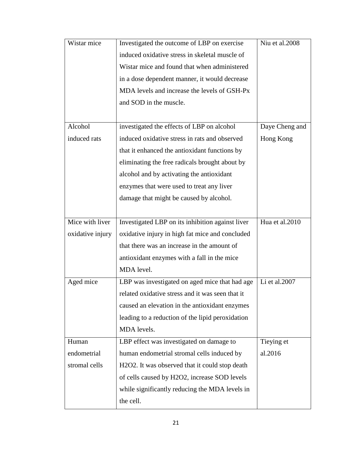| Wistar mice      | Investigated the outcome of LBP on exercise      | Niu et al.2008 |
|------------------|--------------------------------------------------|----------------|
|                  | induced oxidative stress in skeletal muscle of   |                |
|                  | Wistar mice and found that when administered     |                |
|                  | in a dose dependent manner, it would decrease    |                |
|                  | MDA levels and increase the levels of GSH-Px     |                |
|                  | and SOD in the muscle.                           |                |
|                  |                                                  |                |
| Alcohol          | investigated the effects of LBP on alcohol       | Daye Cheng and |
| induced rats     | induced oxidative stress in rats and observed    | Hong Kong      |
|                  | that it enhanced the antioxidant functions by    |                |
|                  | eliminating the free radicals brought about by   |                |
|                  | alcohol and by activating the antioxidant        |                |
|                  | enzymes that were used to treat any liver        |                |
|                  | damage that might be caused by alcohol.          |                |
|                  |                                                  |                |
| Mice with liver  | Investigated LBP on its inhibition against liver | Hua et al.2010 |
| oxidative injury | oxidative injury in high fat mice and concluded  |                |
|                  | that there was an increase in the amount of      |                |
|                  | antioxidant enzymes with a fall in the mice      |                |
|                  | MDA level.                                       |                |
| Aged mice        | LBP was investigated on aged mice that had age   | Li et al.2007  |
|                  | related oxidative stress and it was seen that it |                |
|                  | caused an elevation in the antioxidant enzymes   |                |
|                  | leading to a reduction of the lipid peroxidation |                |
|                  | MDA levels.                                      |                |
| Human            | LBP effect was investigated on damage to         | Tieying et     |
| endometrial      | human endometrial stromal cells induced by       | al.2016        |
| stromal cells    | H2O2. It was observed that it could stop death   |                |
|                  | of cells caused by H2O2, increase SOD levels     |                |
|                  | while significantly reducing the MDA levels in   |                |
|                  | the cell.                                        |                |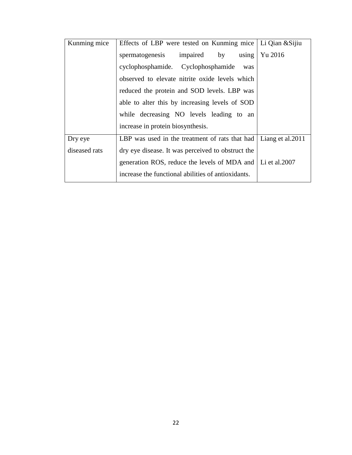| Kunming mice  | Effects of LBP were tested on Kunming mice   Li Qian & Sijiu |                   |
|---------------|--------------------------------------------------------------|-------------------|
|               | impaired by<br>spermatogenesis<br>using                      | Yu 2016           |
|               | cyclophosphamide. Cyclophosphamide<br>was                    |                   |
|               | observed to elevate nitrite oxide levels which               |                   |
|               | reduced the protein and SOD levels. LBP was                  |                   |
|               | able to alter this by increasing levels of SOD               |                   |
|               | while decreasing NO levels leading to an                     |                   |
|               | increase in protein biosynthesis.                            |                   |
| Dry eye       | LBP was used in the treatment of rats that had               | Liang et al. 2011 |
| diseased rats | dry eye disease. It was perceived to obstruct the            |                   |
|               | generation ROS, reduce the levels of MDA and                 | Li et al.2007     |
|               | increase the functional abilities of antioxidants.           |                   |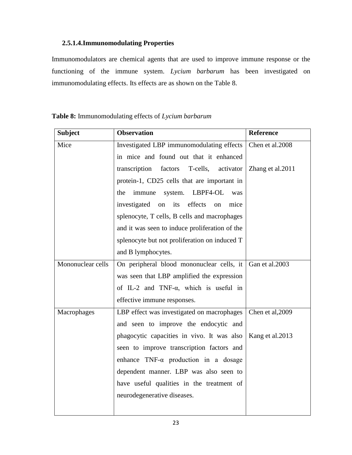### **2.5.1.4.Immunomodulating Properties**

Immunomodulators are chemical agents that are used to improve immune response or the functioning of the immune system. *Lycium barbarum* has been investigated on immunomodulating effects. Its effects are as shown on the Table 8.

| <b>Subject</b>    | <b>Observation</b>                                      | Reference        |
|-------------------|---------------------------------------------------------|------------------|
| Mice              | Investigated LBP immunomodulating effects               | Chen et al.2008  |
|                   | in mice and found out that it enhanced                  |                  |
|                   | transcription<br>factors<br>T-cells,<br>activator       | Zhang et al.2011 |
|                   | protein-1, CD25 cells that are important in             |                  |
|                   | LBPF4-OL<br>the<br>immune<br>system.<br>was             |                  |
|                   | its effects<br>investigated on<br>mice<br><sub>on</sub> |                  |
|                   | splenocyte, T cells, B cells and macrophages            |                  |
|                   | and it was seen to induce proliferation of the          |                  |
|                   | splenocyte but not proliferation on induced T           |                  |
|                   | and B lymphocytes.                                      |                  |
| Mononuclear cells | On peripheral blood mononuclear cells, it               | Gan et al.2003   |
|                   | was seen that LBP amplified the expression              |                  |
|                   | of IL-2 and TNF- $\alpha$ , which is useful in          |                  |
|                   | effective immune responses.                             |                  |
| Macrophages       | LBP effect was investigated on macrophages              | Chen et al, 2009 |
|                   | and seen to improve the endocytic and                   |                  |
|                   | phagocytic capacities in vivo. It was also              | Kang et al. 2013 |
|                   | seen to improve transcription factors and               |                  |
|                   | enhance $TNF-\alpha$ production in a dosage             |                  |
|                   | dependent manner. LBP was also seen to                  |                  |
|                   | have useful qualities in the treatment of               |                  |
|                   | neurodegenerative diseases.                             |                  |
|                   |                                                         |                  |

**Table 8:** Immunomodulating effects of *Lycium barbarum*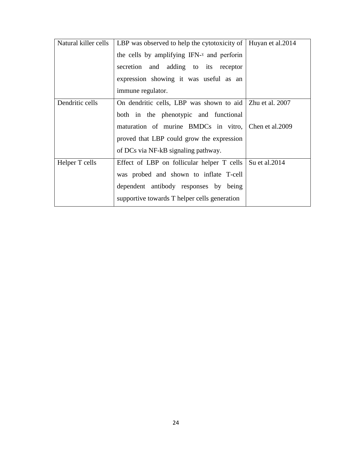| Natural killer cells | LBP was observed to help the cytotoxicity of   Huyan et al.2014 |                |
|----------------------|-----------------------------------------------------------------|----------------|
|                      | the cells by amplifying IFN-y and perforin                      |                |
|                      | secretion and adding to its receptor                            |                |
|                      | expression showing it was useful as an                          |                |
|                      | immune regulator.                                               |                |
| Dendritic cells      | On dendritic cells, LBP was shown to aid   Zhu et al. 2007      |                |
|                      | both in the phenotypic and functional                           |                |
|                      | maturation of murine BMDCs in vitro, Chen et al.2009            |                |
|                      | proved that LBP could grow the expression                       |                |
|                      | of DCs via NF-kB signaling pathway.                             |                |
| Helper T cells       | Effect of LBP on follicular helper T cells                      | Su et al. 2014 |
|                      | was probed and shown to inflate T-cell                          |                |
|                      | dependent antibody responses by being                           |                |
|                      | supportive towards T helper cells generation                    |                |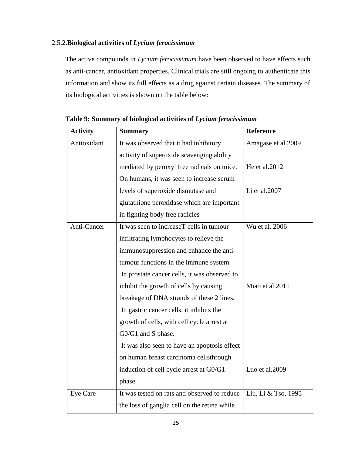### 2.5.2.**Biological activities of** *Lycium ferocissimum*

The active compounds in *Lycium ferocissimum* have been observed to have effects such as anti-cancer, antioxidant properties. Clinical trials are still ongoing to authenticate this information and show its full effects as a drug against certain diseases. The summary of its biological activities is shown on the table below:

| <b>Activity</b> | <b>Summary</b>                               | <b>Reference</b>    |
|-----------------|----------------------------------------------|---------------------|
| Antioxidant     | It was observed that it had inhibitory       | Amagase et al.2009  |
|                 | activity of superoxide scavenging ability    |                     |
|                 | mediated by peroxyl free radicals on mice.   | He et al.2012       |
|                 | On humans, it was seen to increase serum     |                     |
|                 | levels of superoxide dismutase and           | Li et al.2007       |
|                 | glutathione peroxidase which are important   |                     |
|                 | in fighting body free radicles               |                     |
| Anti-Cancer     | It was seen to increaseT cells in tumour     | Wu et al. 2006      |
|                 | infiltrating lymphocytes to relieve the      |                     |
|                 | immunosuppression and enhance the anti-      |                     |
|                 | tumour functions in the immune system.       |                     |
|                 | In prostate cancer cells, it was observed to |                     |
|                 | inhibit the growth of cells by causing       | Miao et al.2011     |
|                 | breakage of DNA strands of these 2 lines.    |                     |
|                 | In gastric cancer cells, it inhibits the     |                     |
|                 | growth of cells, with cell cycle arrest at   |                     |
|                 | G0/G1 and S phase.                           |                     |
|                 | It was also seen to have an apoptosis effect |                     |
|                 | on human breast carcinoma cellsthrough       |                     |
|                 | induction of cell cycle arrest at G0/G1      | Luo et al.2009      |
|                 | phase.                                       |                     |
| Eye Care        | It was tested on rats and observed to reduce | Liu, Li & Tso, 1995 |
|                 | the loss of ganglia cell on the retina while |                     |

**Table 9: Summary of biological activities of** *Lycium ferocissimum*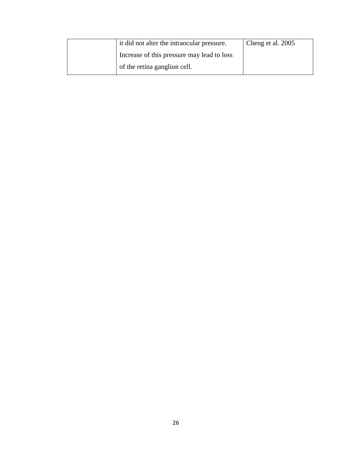| it did not alter the intraocular pressure. | Cheng et al. 2005 |
|--------------------------------------------|-------------------|
| Increase of this pressure may lead to loss |                   |
| of the retina ganglion cell.               |                   |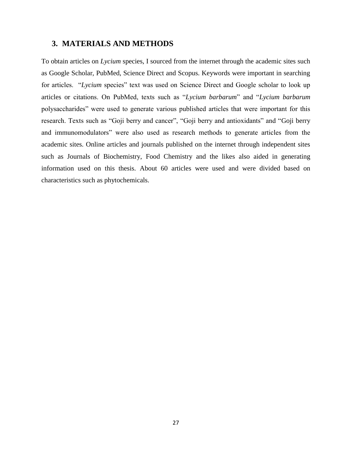### **3. MATERIALS AND METHODS**

To obtain articles on *Lycium* species, I sourced from the internet through the academic sites such as Google Scholar, PubMed, Science Direct and Scopus. Keywords were important in searching for articles. "*Lycium* species" text was used on Science Direct and Google scholar to look up articles or citations. On PubMed, texts such as "*Lycium barbarum*" and "*Lycium barbarum* polysaccharides" were used to generate various published articles that were important for this research. Texts such as "Goji berry and cancer", "Goji berry and antioxidants" and "Goji berry and immunomodulators" were also used as research methods to generate articles from the academic sites. Online articles and journals published on the internet through independent sites such as Journals of Biochemistry, Food Chemistry and the likes also aided in generating information used on this thesis. About 60 articles were used and were divided based on characteristics such as phytochemicals.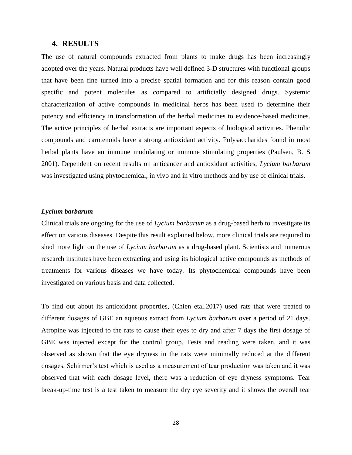#### **4. RESULTS**

The use of natural compounds extracted from plants to make drugs has been increasingly adopted over the years. Natural products have well defined 3-D structures with functional groups that have been fine turned into a precise spatial formation and for this reason contain good specific and potent molecules as compared to artificially designed drugs. Systemic characterization of active compounds in medicinal herbs has been used to determine their potency and efficiency in transformation of the herbal medicines to evidence-based medicines. The active principles of herbal extracts are important aspects of biological activities. Phenolic compounds and carotenoids have a strong antioxidant activity. Polysaccharides found in most herbal plants have an immune modulating or immune stimulating properties (Paulsen, B. S 2001). Dependent on recent results on anticancer and antioxidant activities, *Lycium barbarum* was investigated using phytochemical, in vivo and in vitro methods and by use of clinical trials.

#### *Lycium barbarum*

Clinical trials are ongoing for the use of *Lycium barbarum* as a drug-based herb to investigate its effect on various diseases. Despite this result explained below, more clinical trials are required to shed more light on the use of *Lycium barbarum* as a drug-based plant. Scientists and numerous research institutes have been extracting and using its biological active compounds as methods of treatments for various diseases we have today. Its phytochemical compounds have been investigated on various basis and data collected.

To find out about its antioxidant properties, (Chien etal.2017) used rats that were treated to different dosages of GBE an aqueous extract from *Lycium barbarum* over a period of 21 days. Atropine was injected to the rats to cause their eyes to dry and after 7 days the first dosage of GBE was injected except for the control group. Tests and reading were taken, and it was observed as shown that the eye dryness in the rats were minimally reduced at the different dosages. Schirmer's test which is used as a measurement of tear production was taken and it was observed that with each dosage level, there was a reduction of eye dryness symptoms. Tear break-up-time test is a test taken to measure the dry eye severity and it shows the overall tear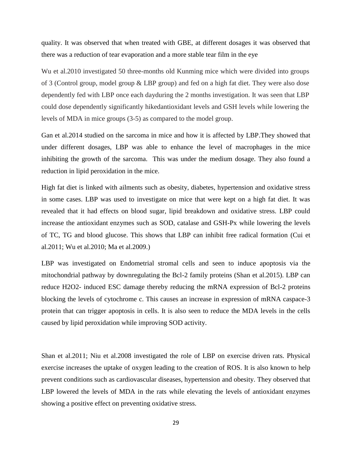quality. It was observed that when treated with GBE, at different dosages it was observed that there was a reduction of tear evaporation and a more stable tear film in the eye

Wu et al.2010 investigated 50 three-months old Kunming mice which were divided into groups of 3 (Control group, model group & LBP group) and fed on a high fat diet. They were also dose dependently fed with LBP once each dayduring the 2 months investigation. It was seen that LBP could dose dependently significantly hikedantioxidant levels and GSH levels while lowering the levels of MDA in mice groups (3-5) as compared to the model group.

Gan et al.2014 studied on the sarcoma in mice and how it is affected by LBP.They showed that under different dosages, LBP was able to enhance the level of macrophages in the mice inhibiting the growth of the sarcoma. This was under the medium dosage. They also found a reduction in lipid peroxidation in the mice.

High fat diet is linked with ailments such as obesity, diabetes, hypertension and oxidative stress in some cases. LBP was used to investigate on mice that were kept on a high fat diet. It was revealed that it had effects on blood sugar, lipid breakdown and oxidative stress. LBP could increase the antioxidant enzymes such as SOD, catalase and GSH-Px while lowering the levels of TC, TG and blood glucose. This shows that LBP can inhibit free radical formation (Cui et al.2011; Wu et al.2010; Ma et al.2009.)

LBP was investigated on Endometrial stromal cells and seen to induce apoptosis via the mitochondrial pathway by downregulating the Bcl-2 family proteins (Shan et al.2015). LBP can reduce H2O2- induced ESC damage thereby reducing the mRNA expression of Bcl-2 proteins blocking the levels of cytochrome c. This causes an increase in expression of mRNA caspace-3 protein that can trigger apoptosis in cells. It is also seen to reduce the MDA levels in the cells caused by lipid peroxidation while improving SOD activity.

Shan et al.2011; Niu et al.2008 investigated the role of LBP on exercise driven rats. Physical exercise increases the uptake of oxygen leading to the creation of ROS. It is also known to help prevent conditions such as cardiovascular diseases, hypertension and obesity. They observed that LBP lowered the levels of MDA in the rats while elevating the levels of antioxidant enzymes showing a positive effect on preventing oxidative stress.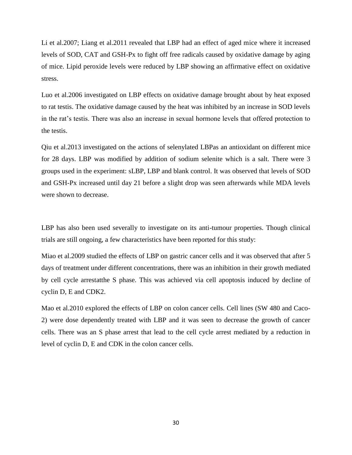Li et al.2007; Liang et al.2011 revealed that LBP had an effect of aged mice where it increased levels of SOD, CAT and GSH-Px to fight off free radicals caused by oxidative damage by aging of mice. Lipid peroxide levels were reduced by LBP showing an affirmative effect on oxidative stress.

Luo et al.2006 investigated on LBP effects on oxidative damage brought about by heat exposed to rat testis. The oxidative damage caused by the heat was inhibited by an increase in SOD levels in the rat's testis. There was also an increase in sexual hormone levels that offered protection to the testis.

Qiu et al.2013 investigated on the actions of selenylated LBPas an antioxidant on different mice for 28 days. LBP was modified by addition of sodium selenite which is a salt. There were 3 groups used in the experiment: sLBP, LBP and blank control. It was observed that levels of SOD and GSH-Px increased until day 21 before a slight drop was seen afterwards while MDA levels were shown to decrease.

LBP has also been used severally to investigate on its anti-tumour properties. Though clinical trials are still ongoing, a few characteristics have been reported for this study:

Miao et al.2009 studied the effects of LBP on gastric cancer cells and it was observed that after 5 days of treatment under different concentrations, there was an inhibition in their growth mediated by cell cycle arrestatthe S phase. This was achieved via cell apoptosis induced by decline of cyclin D, E and CDK2.

Mao et al.2010 explored the effects of LBP on colon cancer cells. Cell lines (SW 480 and Caco-2) were dose dependently treated with LBP and it was seen to decrease the growth of cancer cells. There was an S phase arrest that lead to the cell cycle arrest mediated by a reduction in level of cyclin D, E and CDK in the colon cancer cells.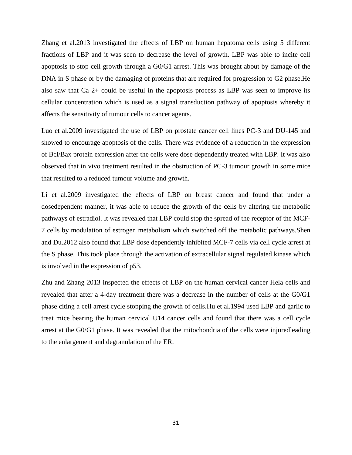Zhang et al.2013 investigated the effects of LBP on human hepatoma cells using 5 different fractions of LBP and it was seen to decrease the level of growth. LBP was able to incite cell apoptosis to stop cell growth through a G0/G1 arrest. This was brought about by damage of the DNA in S phase or by the damaging of proteins that are required for progression to G2 phase.He also saw that Ca 2+ could be useful in the apoptosis process as LBP was seen to improve its cellular concentration which is used as a signal transduction pathway of apoptosis whereby it affects the sensitivity of tumour cells to cancer agents.

Luo et al.2009 investigated the use of LBP on prostate cancer cell lines PC-3 and DU-145 and showed to encourage apoptosis of the cells. There was evidence of a reduction in the expression of Bcl/Bax protein expression after the cells were dose dependently treated with LBP. It was also observed that in vivo treatment resulted in the obstruction of PC-3 tumour growth in some mice that resulted to a reduced tumour volume and growth.

Li et al.2009 investigated the effects of LBP on breast cancer and found that under a dosedependent manner, it was able to reduce the growth of the cells by altering the metabolic pathways of estradiol. It was revealed that LBP could stop the spread of the receptor of the MCF-7 cells by modulation of estrogen metabolism which switched off the metabolic pathways.Shen and Du.2012 also found that LBP dose dependently inhibited MCF-7 cells via cell cycle arrest at the S phase. This took place through the activation of extracellular signal regulated kinase which is involved in the expression of p53.

Zhu and Zhang 2013 inspected the effects of LBP on the human cervical cancer Hela cells and revealed that after a 4-day treatment there was a decrease in the number of cells at the G0/G1 phase citing a cell arrest cycle stopping the growth of cells.Hu et al.1994 used LBP and garlic to treat mice bearing the human cervical U14 cancer cells and found that there was a cell cycle arrest at the G0/G1 phase. It was revealed that the mitochondria of the cells were injuredleading to the enlargement and degranulation of the ER.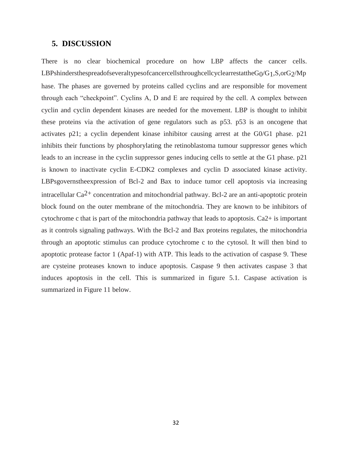#### **5. DISCUSSION**

There is no clear biochemical procedure on how LBP affects the cancer cells. LBPshindersthespreadofseveraltypesofcancercellsthroughcellcyclearrestattheG0/G1,S,orG2/Mp hase. The phases are governed by proteins called cyclins and are responsible for movement through each "checkpoint". Cyclins A, D and E are required by the cell. A complex between cyclin and cyclin dependent kinases are needed for the movement. LBP is thought to inhibit these proteins via the activation of gene regulators such as p53. p53 is an oncogene that activates p21; a cyclin dependent kinase inhibitor causing arrest at the G0/G1 phase. p21 inhibits their functions by phosphorylating the retinoblastoma tumour suppressor genes which leads to an increase in the cyclin suppressor genes inducing cells to settle at the G1 phase. p21 is known to inactivate cyclin E-CDK2 complexes and cyclin D associated kinase activity. LBPsgovernstheexpression of Bcl-2 and Bax to induce tumor cell apoptosis via increasing intracellular  $Ca^{2+}$  concentration and mitochondrial pathway. Bcl-2 are an anti-apoptotic protein block found on the outer membrane of the mitochondria. They are known to be inhibitors of cytochrome c that is part of the mitochondria pathway that leads to apoptosis. Ca2+ is important as it controls signaling pathways. With the Bcl-2 and Bax proteins regulates, the mitochondria through an apoptotic stimulus can produce cytochrome c to the cytosol. It will then bind to apoptotic protease factor 1 (Apaf-1) with ATP. This leads to the activation of caspase 9. These are cysteine proteases known to induce apoptosis. Caspase 9 then activates caspase 3 that induces apoptosis in the cell. This is summarized in figure 5.1. Caspase activation is summarized in Figure 11 below.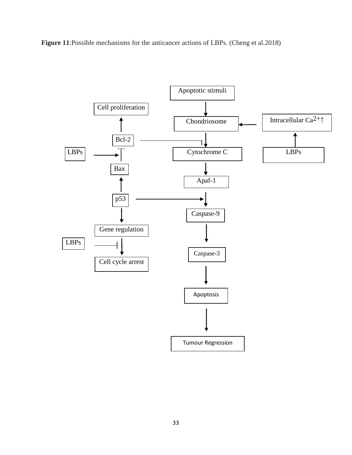**Figure 11**:Possible mechanisms for the anticancer actions of LBPs. (Cheng et al.2018)

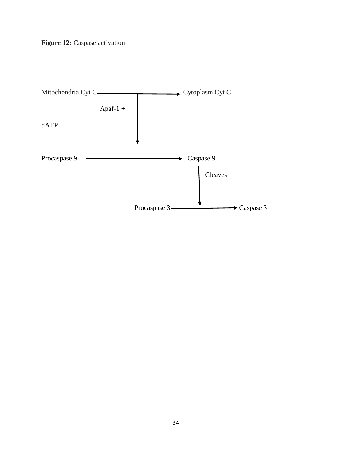

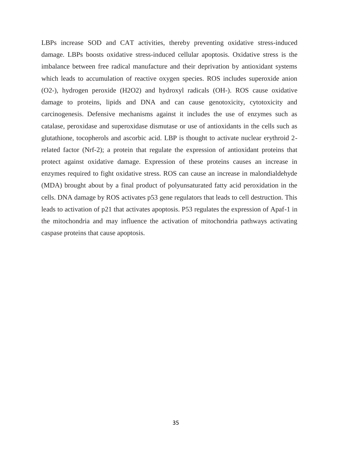LBPs increase SOD and CAT activities, thereby preventing oxidative stress-induced damage. LBPs boosts oxidative stress-induced cellular apoptosis. Oxidative stress is the imbalance between free radical manufacture and their deprivation by antioxidant systems which leads to accumulation of reactive oxygen species. ROS includes superoxide anion (O2-), hydrogen peroxide (H2O2) and hydroxyl radicals (OH-). ROS cause oxidative damage to proteins, lipids and DNA and can cause genotoxicity, cytotoxicity and carcinogenesis. Defensive mechanisms against it includes the use of enzymes such as catalase, peroxidase and superoxidase dismutase or use of antioxidants in the cells such as glutathione, tocopherols and ascorbic acid. LBP is thought to activate nuclear erythroid 2 related factor (Nrf-2); a protein that regulate the expression of antioxidant proteins that protect against oxidative damage. Expression of these proteins causes an increase in enzymes required to fight oxidative stress. ROS can cause an increase in malondialdehyde (MDA) brought about by a final product of polyunsaturated fatty acid peroxidation in the cells. DNA damage by ROS activates p53 gene regulators that leads to cell destruction. This leads to activation of p21 that activates apoptosis. P53 regulates the expression of Apaf-1 in the mitochondria and may influence the activation of mitochondria pathways activating caspase proteins that cause apoptosis.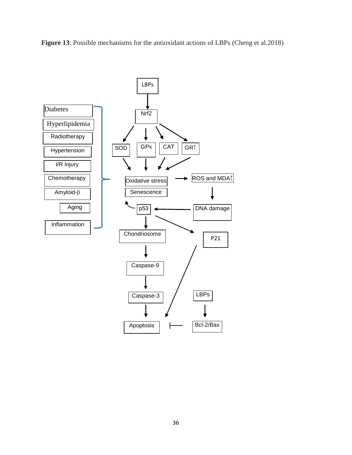

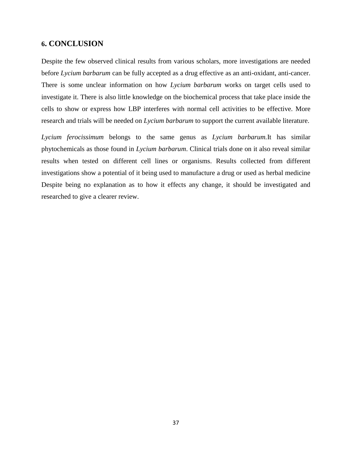### **6. CONCLUSION**

Despite the few observed clinical results from various scholars, more investigations are needed before *Lycium barbarum* can be fully accepted as a drug effective as an anti-oxidant, anti-cancer. There is some unclear information on how *Lycium barbarum* works on target cells used to investigate it. There is also little knowledge on the biochemical process that take place inside the cells to show or express how LBP interferes with normal cell activities to be effective. More research and trials will be needed on *Lycium barbarum* to support the current available literature.

*Lycium ferocissimum* belongs to the same genus as *Lycium barbarum.*It has similar phytochemicals as those found in *Lycium barbarum*. Clinical trials done on it also reveal similar results when tested on different cell lines or organisms. Results collected from different investigations show a potential of it being used to manufacture a drug or used as herbal medicine Despite being no explanation as to how it effects any change, it should be investigated and researched to give a clearer review.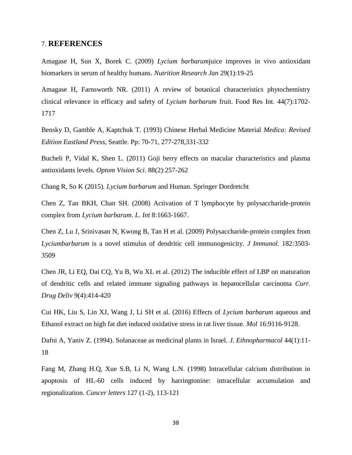#### 7. **REFERENCES**

Amagase H, Sun X, Borek C. (2009) *Lycium barbarum*juice improves in vivo antioxidant biomarkers in serum of healthy humans. *Nutrition Research Jan* 29(1):19-25

Amagase H, Farnsworth NR. (2011) A review of botanical characteristics phytochemistry clinical relevance in efficacy and safety of *Lycium barbarum* fruit. Food Res Int. 44(7):1702- 1717

Bensky D, Gamble A, Kaptchuk T. (1993) Chinese Herbal Medicine Material *Medica: Revised Edition Eastland Press*, Seattle. Pp: 70-71, 277-278,331-332

Bucheli P, Vidal K, Shen L. (2011) Goji berry effects on macular characteristics and plasma antioxidants levels. *Optom Vision Sci*. 88(2):257-262

Chang R, So K (2015). *Lycium barbarum* and Human. Springer Dordretcht

Chen Z, Tan BKH, Chan SH. (2008) Activation of T lymphocyte by polysaccharide-protein complex from *Lycium barbarum*. *L. Int* 8:1663-1667.

Chen Z, Lu J, Srinivasan N, Kwong B, Tan H et al. (2009) Polysaccharide-protein complex from *Lyciumbarbarum* is a novel stimulus of dendritic cell immunogenicity. *J Immunol*. 182:3503- 3509

Chen JR, Li EQ, Dai CQ, Yu B, Wu XL et al. (2012) The inducible effect of LBP on maturation of dendritic cells and related immune signaling pathways in hepatocellular carcinoma *Curr. Drug Deliv* 9(4):414-420

Cui HK, Liu S, Lin XJ, Wang J, Li SH et al. (2016) Effects of *Lycium barbarum* aqueous and Ethanol extract on high fat diet induced oxidative stress in rat liver tissue. *Mol* 16:9116-9128.

Dafni A, Yaniv Z. (1994). Solanaceae as medicinal plants in Israel. *J. Ethnopharmacol* 44(1):11- 18

Fang M, Zhang H.Q, Xue S.B, Li N, Wang L.N. (1998) Intracellular calcium distribution in apoptosis of HL-60 cells induced by harringtonine: intracellular accumulation and regionalization*. Cancer letters* 127 (1-2), 113-121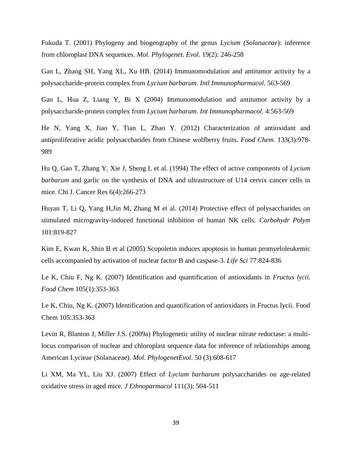Fukuda T. (2001) Phylogeny and biogeography of the genus *Lycium (Solanaceae*): inference from chloroplast DNA sequences. *Mol. Phylogenet. Evol*. 19(2): 246-258

Gan L, Zhang SH, Yang XL, Xu HB. (2014) Immunomodulation and antitumor activity by a polysaccharide-protein complex from *Lycium barbarum*. *Intl Immunopharmacol*. 563-569

Gan L, Hua Z, Liang Y, Bi X (2004) Immunomodulation and antitumor activity by a polysaccharide-protein complex from *Lycium barbarum*. *Int Immunopharmacol*. 4:563-569

He N, Yang X, Jiao Y, Tian L, Zhao Y. (2012) Characterization of antioxidant and antiproliferative acidic polysaccharides from Chinese wolfberry fruits. *Food Chem*. 133(3):978- 989

Hu Q, Gao T, Zhang Y, Xie J, Sheng L et al. (1994) The effect of active components of *Lycium barbarum* and garlic on the synthesis of DNA and ultrastructure of U14 cervix cancer cells in mice. Chi J. Cancer Res 6(4):266-273

Huyan T, Li Q, Yang H,Jin M, Zhang M et al. (2014) Protective effect of polysaccharides on stimulated microgravity-induced functional inhibition of human NK cells. *Carbohydr Polym* 101:819-827

Kim E, Kwan K, Shin B et al (2005) Scopoletin induces apoptosis in human promyeloleukemic cells accompanied by activation of nuclear factor B and caspase-3. *Life Sci* 77:824-836

Le K, Chiu F, Ng K. (2007) Identification and quantification of antioxidants in *Fructus lycii. Food Chem* 105(1):353-363

Le K, Chiu, Ng K. (2007) Identification and quantification of antioxidants in Fructus lycii. Food Chem 105:353-363

Levin R, Blanton J, Miller J.S. (2009a) Phylogenetic utility of nuclear nitrate reductase: a multilocus comparison of nuclear and chloroplast sequence data for inference of relationships among American Lycieae (Solanaceae). *Mol. PhylogenetEvol*. 50 (3):608-617

Li XM, Ma YL, Liu XJ. (2007) Effect of *Lycium barbarum* polysaccharides on age-related oxidative stress in aged mice*. J Ethnoparmacol* 111(3): 504-511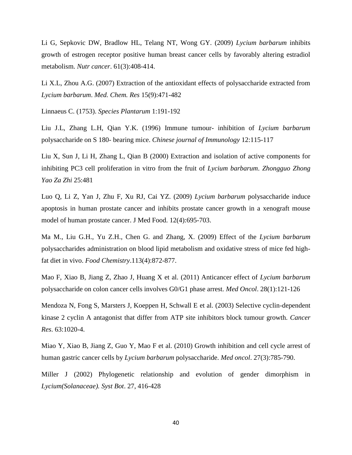Li G, Sepkovic DW, Bradlow HL, Telang NT, Wong GY. (2009) *Lycium barbarum* inhibits growth of estrogen receptor positive human breast cancer cells by favorably altering estradiol metabolism. *Nutr cancer*. 61(3):408-414.

Li X.L, Zhou A.G. (2007) Extraction of the antioxidant effects of polysaccharide extracted from *Lycium barbarum*. *Med. Chem. Res* 15(9):471-482

Linnaeus C. (1753). *Species Plantarum* 1:191-192

Liu J.L, Zhang L.H, Qian Y.K. (1996) Immune tumour- inhibition of *Lycium barbarum* polysaccharide on S 180- bearing mice. *Chinese journal of Immunology* 12:115-117

Liu X, Sun J, Li H, Zhang L, Qian B (2000) Extraction and isolation of active components for inhibiting PC3 cell proliferation in vitro from the fruit of *Lycium barbarum*. *Zhongguo Zhong Yao Za Zhi* 25:481

Luo Q, Li Z, Yan J, Zhu F, Xu RJ, Cai YZ. (2009) *Lycium barbarum* polysaccharide induce apoptosis in human prostate cancer and inhibits prostate cancer growth in a xenograft mouse model of human prostate cancer. J Med Food. 12(4):695-703.

Ma M., Liu G.H., Yu Z.H., Chen G. and Zhang, X. (2009) Effect of the *Lycium barbarum* polysaccharides administration on blood lipid metabolism and oxidative stress of mice fed highfat diet in vivo. *Food Chemistry*.113(4):872-877.

Mao F, Xiao B, Jiang Z, Zhao J, Huang X et al. (2011) Anticancer effect of *Lycium barbarum* polysaccharide on colon cancer cells involves G0/G1 phase arrest. *Med Oncol*. 28(1):121-126

Mendoza N, Fong S, Marsters J, Koeppen H, Schwall E et al. (2003) Selective cyclin-dependent kinase 2 cyclin A antagonist that differ from ATP site inhibitors block tumour growth. *Cancer Res*. 63:1020-4.

Miao Y, Xiao B, Jiang Z, Guo Y, Mao F et al. (2010) Growth inhibition and cell cycle arrest of human gastric cancer cells by *Lycium barbarum* polysaccharide. *Med oncol*. 27(3):785-790.

Miller J (2002) Phylogenetic relationship and evolution of gender dimorphism in *Lycium(Solanaceae). Syst Bot*. 27, 416-428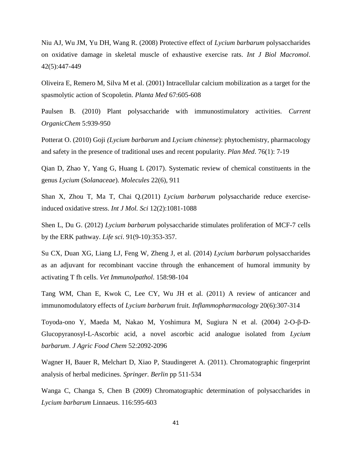Niu AJ, Wu JM, Yu DH, Wang R. (2008) Protective effect of *Lycium barbarum* polysaccharides on oxidative damage in skeletal muscle of exhaustive exercise rats. *Int J Biol Macromol*. 42(5):447-449

Oliveira E, Remero M, Silva M et al. (2001) Intracellular calcium mobilization as a target for the spasmolytic action of Scopoletin. *Planta Med* 67:605-608

Paulsen B. (2010) Plant polysaccharide with immunostimulatory activities. *Current OrganicChem* 5:939-950

Potterat O. (2010) Goji *(Lycium barbarum* and *Lycium chinense*): phytochemistry, pharmacology and safety in the presence of traditional uses and recent popularity. *Plan Med*. 76(1): 7-19

Qian D, Zhao Y, Yang G, Huang L (2017). Systematic review of chemical constituents in the genus *Lycium* (*Solanaceae*). *Molecules* 22(6), 911

Shan X, Zhou T, Ma T, Chai Q*.*(2011) *Lycium barbarum* polysaccharide reduce exerciseinduced oxidative stress. *Int J Mol. Sci* 12(2):1081-1088

Shen L, Du G. (2012) *Lycium barbarum* polysaccharide stimulates proliferation of MCF-7 cells by the ERK pathway. *Life sci*. 91(9-10):353-357.

Su CX, Duan XG, Liang LJ, Feng W, Zheng J, et al. (2014) *Lycium barbarum* polysaccharides as an adjuvant for recombinant vaccine through the enhancement of humoral immunity by activating T fh cells. *Vet Immunolpathol*. 158:98-104

Tang WM, Chan E, Kwok C, Lee CY, Wu JH et al. (2011) A review of anticancer and immunomodulatory effects of *Lycium barbarum* fruit. *Inflammopharmacology* 20(6):307-314

Toyoda-ono Y, Maeda M, Nakao M, Yoshimura M, Sugiura N et al. (2004) 2-O-β-D-Glucopyranosyl-L-Ascorbic acid, a novel ascorbic acid analogue isolated from *Lycium barbarum*. *J Agric Food Chem* 52:2092-2096

Wagner H, Bauer R, Melchart D, Xiao P, Staudingeret A. (2011). Chromatographic fingerprint analysis of herbal medicines. *Springer. Berlin* pp 511-534

Wanga C, Changa S, Chen B (2009) Chromatographic determination of polysaccharides in *Lycium barbarum* Linnaeus. 116:595-603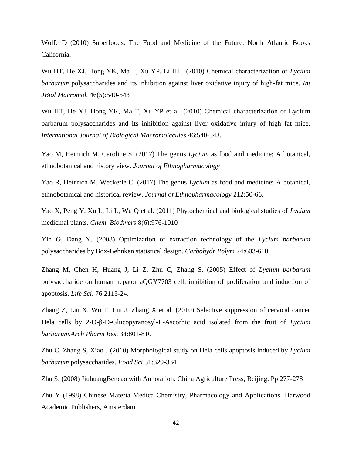Wolfe D (2010) Superfoods: The Food and Medicine of the Future. North Atlantic Books California.

Wu HT, He XJ, Hong YK, Ma T, Xu YP, Li HH. (2010) Chemical characterization of *Lycium barbarum* polysaccharides and its inhibition against liver oxidative injury of high-fat mice. *Int JBiol Macromol.* 46(5):540-543

Wu HT, He XJ, Hong YK, Ma T, Xu YP et al. (2010) Chemical characterization of Lycium barbarum polysaccharides and its inhibition against liver oxidative injury of high fat mice. *International Journal of Biological Macromolecules* 46:540-543.

Yao M, Heinrich M, Caroline S. (2017) The genus *Lycium* as food and medicine: A botanical, ethnobotanical and history view. *Journal of Ethnopharmacology*

Yao R, Heinrich M, Weckerle C. (2017) The genus *Lycium* as food and medicine: A botanical, ethnobotanical and historical review. *Journal of Ethnopharmacology* 212:50-66.

Yao X, Peng Y, Xu L, Li L, Wu Q et al. (2011) Phytochemical and biological studies of *Lycium* medicinal plants. *Chem. Biodivers* 8(6):976-1010

Yin G, Dang Y. (2008) Optimization of extraction technology of the *Lycium barbarum* polysaccharides by Box-Behnken statistical design. *Carbohydr Polym* 74:603-610

Zhang M, Chen H, Huang J, Li Z, Zhu C, Zhang S. (2005) Effect of *Lycium barbarum* polysaccharide on human hepatomaQGY7703 cell: inhibition of proliferation and induction of apoptosis. *Life Sci*. 76:2115-24.

Zhang Z, Liu X, Wu T, Liu J, Zhang X et al. (2010) Selective suppression of cervical cancer Hela cells by 2-O-β-D-Glucopyranosyl-L-Ascorbic acid isolated from the fruit of *Lycium barbarum.Arch Pharm Res*. 34:801-810

Zhu C, Zhang S, Xiao J (2010) Morphological study on Hela cells apoptosis induced by *Lycium barbarum* polysaccharides. *Food Sci* 31:329-334

Zhu S. (2008) JiuhuangBencao with Annotation. China Agriculture Press, Beijing. Pp 277-278

Zhu Y (1998) Chinese Materia Medica Chemistry, Pharmacology and Applications. Harwood Academic Publishers, Amsterdam